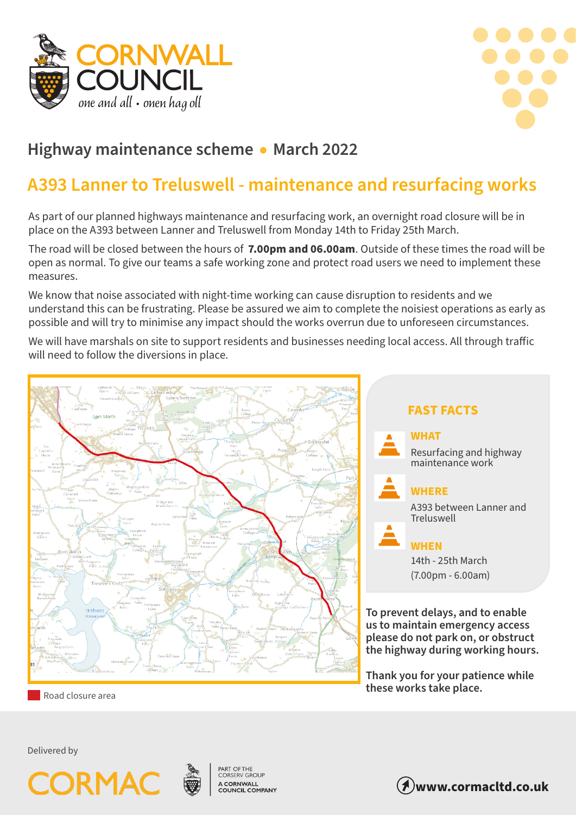



## **Highway maintenance scheme • March 2022**

## **A393 Lanner to Treluswell - maintenance and resurfacing works**

As part of our planned highways maintenance and resurfacing work, an overnight road closure will be in place on the A393 between Lanner and Treluswell from Monday 14th to Friday 25th March.

The road will be closed between the hours of **7.00pm and 06.00am**. Outside of these times the road will be open as normal. To give our teams a safe working zone and protect road users we need to implement these measures.

We know that noise associated with night-time working can cause disruption to residents and we understand this can be frustrating. Please be assured we aim to complete the noisiest operations as early as possible and will try to minimise any impact should the works overrun due to unforeseen circumstances.

We will have marshals on site to support residents and businesses needing local access. All through traffic will need to follow the diversions in place.



 **FAST FACTS WHAT** Resurfacing and highway maintenance work **WHERE** A393 between Lanner and **Treluswell WHEN** 14th - 25th March (7.00pm - 6.00am)

**To prevent delays, and to enable us to maintain emergency access please do not park on, or obstruct the highway during working hours.**

**Thank you for your patience while these works take place.**

Road closure area

Delivered by





**PART OF THE<br>CORSERV GROUP** A CORNWALL<br>COUNCIL COMPANY